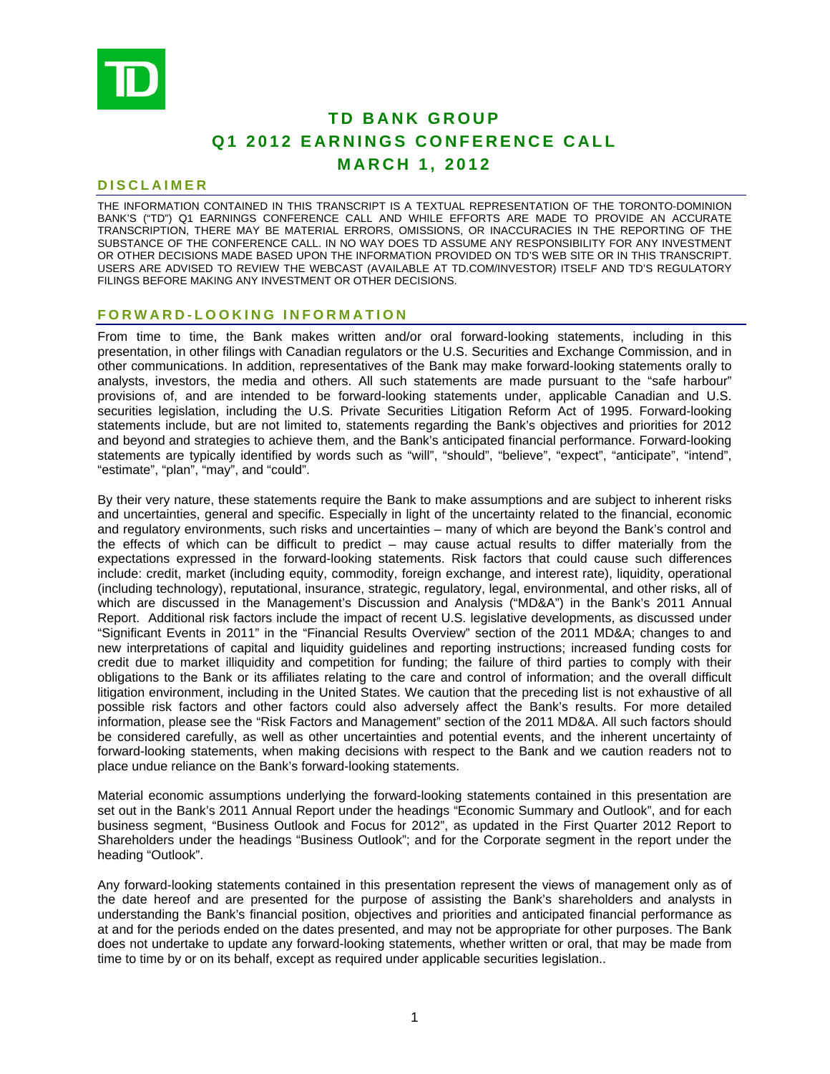

# **TD BANK GROUP Q1 2012 EARNINGS CONFERENCE CALL MARCH 1, 2012**

## **DISCLAIMER**

THE INFORMATION CONTAINED IN THIS TRANSCRIPT IS A TEXTUAL REPRESENTATION OF THE TORONTO-DOMINION BANK'S ("TD") Q1 EARNINGS CONFERENCE CALL AND WHILE EFFORTS ARE MADE TO PROVIDE AN ACCURATE TRANSCRIPTION, THERE MAY BE MATERIAL ERRORS, OMISSIONS, OR INACCURACIES IN THE REPORTING OF THE SUBSTANCE OF THE CONFERENCE CALL. IN NO WAY DOES TD ASSUME ANY RESPONSIBILITY FOR ANY INVESTMENT OR OTHER DECISIONS MADE BASED UPON THE INFORMATION PROVIDED ON TD'S WEB SITE OR IN THIS TRANSCRIPT. USERS ARE ADVISED TO REVIEW THE WEBCAST (AVAILABLE AT TD.COM/INVESTOR) ITSELF AND TD'S REGULATORY FILINGS BEFORE MAKING ANY INVESTMENT OR OTHER DECISIONS.

## **FORWARD-LOOKING INFORMATION**

From time to time, the Bank makes written and/or oral forward-looking statements, including in this presentation, in other filings with Canadian regulators or the U.S. Securities and Exchange Commission, and in other communications. In addition, representatives of the Bank may make forward-looking statements orally to analysts, investors, the media and others. All such statements are made pursuant to the "safe harbour" provisions of, and are intended to be forward-looking statements under, applicable Canadian and U.S. securities legislation, including the U.S. Private Securities Litigation Reform Act of 1995. Forward-looking statements include, but are not limited to, statements regarding the Bank's objectives and priorities for 2012 and beyond and strategies to achieve them, and the Bank's anticipated financial performance. Forward-looking statements are typically identified by words such as "will", "should", "believe", "expect", "anticipate", "intend", "estimate", "plan", "may", and "could".

By their very nature, these statements require the Bank to make assumptions and are subject to inherent risks and uncertainties, general and specific. Especially in light of the uncertainty related to the financial, economic and regulatory environments, such risks and uncertainties – many of which are beyond the Bank's control and the effects of which can be difficult to predict – may cause actual results to differ materially from the expectations expressed in the forward-looking statements. Risk factors that could cause such differences include: credit, market (including equity, commodity, foreign exchange, and interest rate), liquidity, operational (including technology), reputational, insurance, strategic, regulatory, legal, environmental, and other risks, all of which are discussed in the Management's Discussion and Analysis ("MD&A") in the Bank's 2011 Annual Report. Additional risk factors include the impact of recent U.S. legislative developments, as discussed under "Significant Events in 2011" in the "Financial Results Overview" section of the 2011 MD&A; changes to and new interpretations of capital and liquidity guidelines and reporting instructions; increased funding costs for credit due to market illiquidity and competition for funding; the failure of third parties to comply with their obligations to the Bank or its affiliates relating to the care and control of information; and the overall difficult litigation environment, including in the United States. We caution that the preceding list is not exhaustive of all possible risk factors and other factors could also adversely affect the Bank's results. For more detailed information, please see the "Risk Factors and Management" section of the 2011 MD&A. All such factors should be considered carefully, as well as other uncertainties and potential events, and the inherent uncertainty of forward-looking statements, when making decisions with respect to the Bank and we caution readers not to place undue reliance on the Bank's forward-looking statements.

Material economic assumptions underlying the forward-looking statements contained in this presentation are set out in the Bank's 2011 Annual Report under the headings "Economic Summary and Outlook", and for each business segment, "Business Outlook and Focus for 2012", as updated in the First Quarter 2012 Report to Shareholders under the headings "Business Outlook"; and for the Corporate segment in the report under the heading "Outlook".

Any forward-looking statements contained in this presentation represent the views of management only as of the date hereof and are presented for the purpose of assisting the Bank's shareholders and analysts in understanding the Bank's financial position, objectives and priorities and anticipated financial performance as at and for the periods ended on the dates presented, and may not be appropriate for other purposes. The Bank does not undertake to update any forward-looking statements, whether written or oral, that may be made from time to time by or on its behalf, except as required under applicable securities legislation..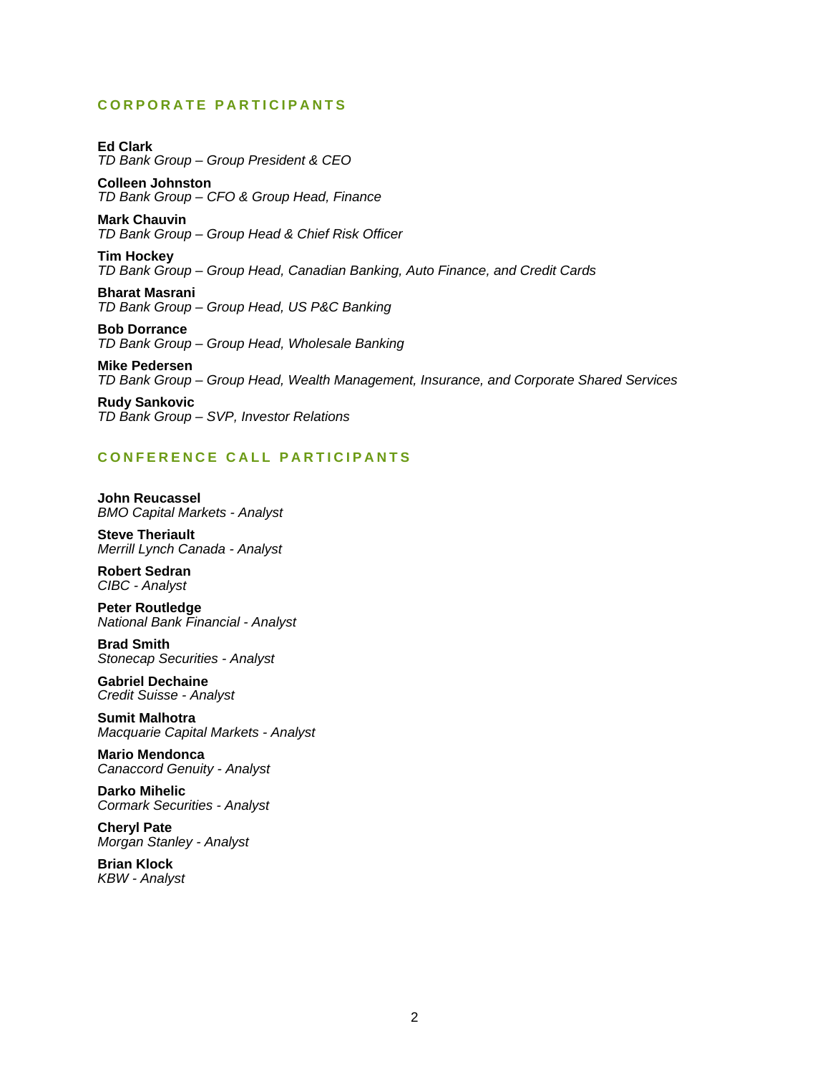## **CORPORATE PARTICIPANTS**

**Ed Clark**  *TD Bank Group – Group President & CEO* 

**Colleen Johnston**  *TD Bank Group – CFO & Group Head, Finance* 

**Mark Chauvin**  *TD Bank Group – Group Head & Chief Risk Officer* 

**Tim Hockey**  *TD Bank Group – Group Head, Canadian Banking, Auto Finance, and Credit Cards* 

**Bharat Masrani**  *TD Bank Group – Group Head, US P&C Banking* 

**Bob Dorrance**  *TD Bank Group – Group Head, Wholesale Banking* 

**Mike Pedersen**  *TD Bank Group – Group Head, Wealth Management, Insurance, and Corporate Shared Services* 

**Rudy Sankovic**  *TD Bank Group – SVP, Investor Relations* 

## **CONFERENCE CALL PARTICIPANTS**

**John Reucassel**  *BMO Capital Markets - Analyst* 

**Steve Theriault**  *Merrill Lynch Canada - Analyst* 

**Robert Sedran**  *CIBC - Analyst* 

**Peter Routledge**  *National Bank Financial - Analyst* 

**Brad Smith**  *Stonecap Securities - Analyst* 

**Gabriel Dechaine**  *Credit Suisse - Analyst* 

**Sumit Malhotra**  *Macquarie Capital Markets - Analyst* 

**Mario Mendonca**  *Canaccord Genuity - Analyst* 

**Darko Mihelic**  *Cormark Securities - Analyst* 

**Cheryl Pate**  *Morgan Stanley - Analyst* 

**Brian Klock**  *KBW - Analyst*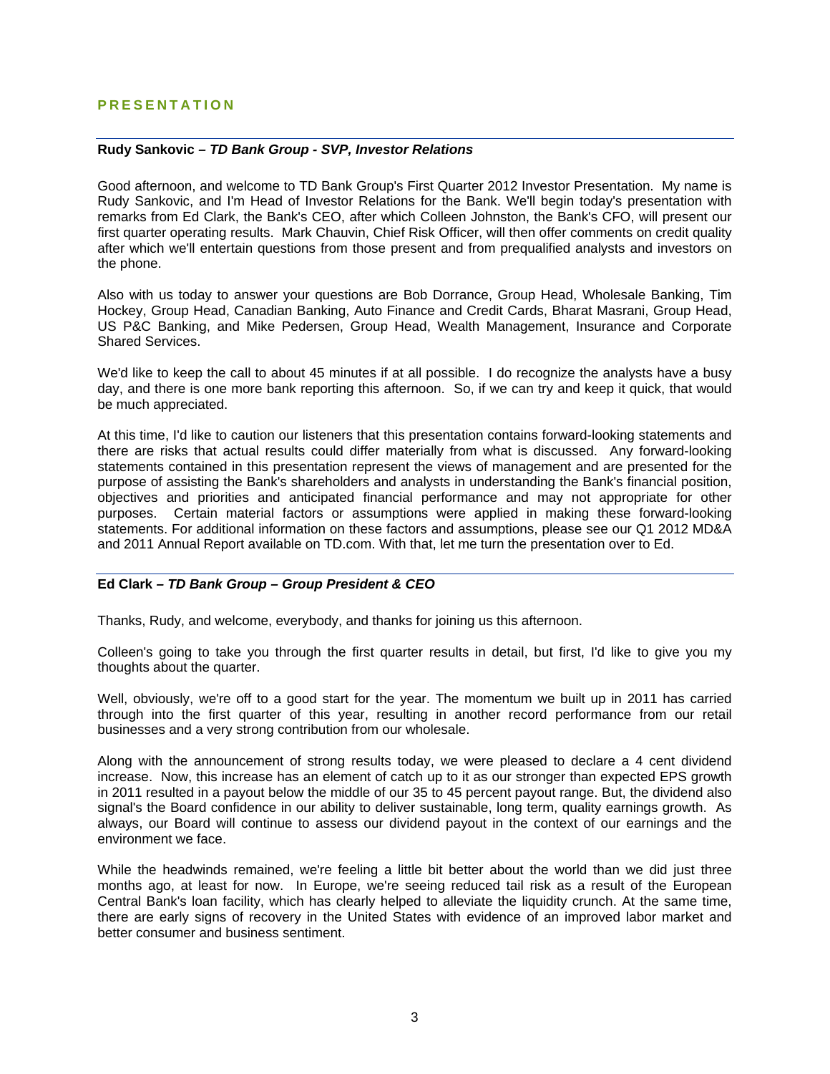## **PRESENTATION**

## **Rudy Sankovic** *– TD Bank Group - SVP, Investor Relations*

Good afternoon, and welcome to TD Bank Group's First Quarter 2012 Investor Presentation. My name is Rudy Sankovic, and I'm Head of Investor Relations for the Bank. We'll begin today's presentation with remarks from Ed Clark, the Bank's CEO, after which Colleen Johnston, the Bank's CFO, will present our first quarter operating results. Mark Chauvin, Chief Risk Officer, will then offer comments on credit quality after which we'll entertain questions from those present and from prequalified analysts and investors on the phone.

Also with us today to answer your questions are Bob Dorrance, Group Head, Wholesale Banking, Tim Hockey, Group Head, Canadian Banking, Auto Finance and Credit Cards, Bharat Masrani, Group Head, US P&C Banking, and Mike Pedersen, Group Head, Wealth Management, Insurance and Corporate Shared Services.

We'd like to keep the call to about 45 minutes if at all possible. I do recognize the analysts have a busy day, and there is one more bank reporting this afternoon. So, if we can try and keep it quick, that would be much appreciated.

At this time, I'd like to caution our listeners that this presentation contains forward-looking statements and there are risks that actual results could differ materially from what is discussed. Any forward-looking statements contained in this presentation represent the views of management and are presented for the purpose of assisting the Bank's shareholders and analysts in understanding the Bank's financial position, objectives and priorities and anticipated financial performance and may not appropriate for other purposes. Certain material factors or assumptions were applied in making these forward-looking statements. For additional information on these factors and assumptions, please see our Q1 2012 MD&A and 2011 Annual Report available on TD.com. With that, let me turn the presentation over to Ed.

### **Ed Clark** *– TD Bank Group – Group President & CEO*

Thanks, Rudy, and welcome, everybody, and thanks for joining us this afternoon.

Colleen's going to take you through the first quarter results in detail, but first, I'd like to give you my thoughts about the quarter.

Well, obviously, we're off to a good start for the year. The momentum we built up in 2011 has carried through into the first quarter of this year, resulting in another record performance from our retail businesses and a very strong contribution from our wholesale.

Along with the announcement of strong results today, we were pleased to declare a 4 cent dividend increase. Now, this increase has an element of catch up to it as our stronger than expected EPS growth in 2011 resulted in a payout below the middle of our 35 to 45 percent payout range. But, the dividend also signal's the Board confidence in our ability to deliver sustainable, long term, quality earnings growth. As always, our Board will continue to assess our dividend payout in the context of our earnings and the environment we face.

While the headwinds remained, we're feeling a little bit better about the world than we did just three months ago, at least for now. In Europe, we're seeing reduced tail risk as a result of the European Central Bank's loan facility, which has clearly helped to alleviate the liquidity crunch. At the same time, there are early signs of recovery in the United States with evidence of an improved labor market and better consumer and business sentiment.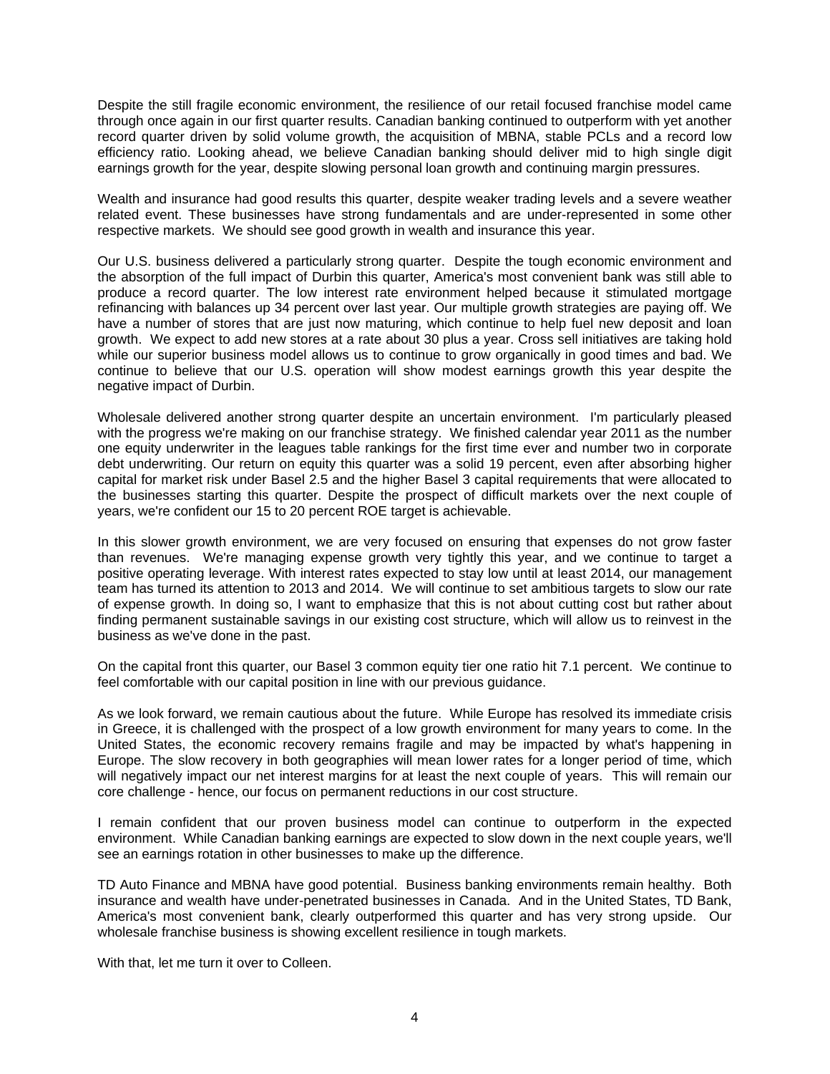Despite the still fragile economic environment, the resilience of our retail focused franchise model came through once again in our first quarter results. Canadian banking continued to outperform with yet another record quarter driven by solid volume growth, the acquisition of MBNA, stable PCLs and a record low efficiency ratio. Looking ahead, we believe Canadian banking should deliver mid to high single digit earnings growth for the year, despite slowing personal loan growth and continuing margin pressures.

Wealth and insurance had good results this quarter, despite weaker trading levels and a severe weather related event. These businesses have strong fundamentals and are under-represented in some other respective markets. We should see good growth in wealth and insurance this year.

Our U.S. business delivered a particularly strong quarter. Despite the tough economic environment and the absorption of the full impact of Durbin this quarter, America's most convenient bank was still able to produce a record quarter. The low interest rate environment helped because it stimulated mortgage refinancing with balances up 34 percent over last year. Our multiple growth strategies are paying off. We have a number of stores that are just now maturing, which continue to help fuel new deposit and loan growth. We expect to add new stores at a rate about 30 plus a year. Cross sell initiatives are taking hold while our superior business model allows us to continue to grow organically in good times and bad. We continue to believe that our U.S. operation will show modest earnings growth this year despite the negative impact of Durbin.

Wholesale delivered another strong quarter despite an uncertain environment. I'm particularly pleased with the progress we're making on our franchise strategy. We finished calendar year 2011 as the number one equity underwriter in the leagues table rankings for the first time ever and number two in corporate debt underwriting. Our return on equity this quarter was a solid 19 percent, even after absorbing higher capital for market risk under Basel 2.5 and the higher Basel 3 capital requirements that were allocated to the businesses starting this quarter. Despite the prospect of difficult markets over the next couple of years, we're confident our 15 to 20 percent ROE target is achievable.

In this slower growth environment, we are very focused on ensuring that expenses do not grow faster than revenues. We're managing expense growth very tightly this year, and we continue to target a positive operating leverage. With interest rates expected to stay low until at least 2014, our management team has turned its attention to 2013 and 2014. We will continue to set ambitious targets to slow our rate of expense growth. In doing so, I want to emphasize that this is not about cutting cost but rather about finding permanent sustainable savings in our existing cost structure, which will allow us to reinvest in the business as we've done in the past.

On the capital front this quarter, our Basel 3 common equity tier one ratio hit 7.1 percent. We continue to feel comfortable with our capital position in line with our previous guidance.

As we look forward, we remain cautious about the future. While Europe has resolved its immediate crisis in Greece, it is challenged with the prospect of a low growth environment for many years to come. In the United States, the economic recovery remains fragile and may be impacted by what's happening in Europe. The slow recovery in both geographies will mean lower rates for a longer period of time, which will negatively impact our net interest margins for at least the next couple of years. This will remain our core challenge - hence, our focus on permanent reductions in our cost structure.

I remain confident that our proven business model can continue to outperform in the expected environment. While Canadian banking earnings are expected to slow down in the next couple years, we'll see an earnings rotation in other businesses to make up the difference.

TD Auto Finance and MBNA have good potential. Business banking environments remain healthy. Both insurance and wealth have under-penetrated businesses in Canada. And in the United States, TD Bank, America's most convenient bank, clearly outperformed this quarter and has very strong upside. Our wholesale franchise business is showing excellent resilience in tough markets.

With that, let me turn it over to Colleen.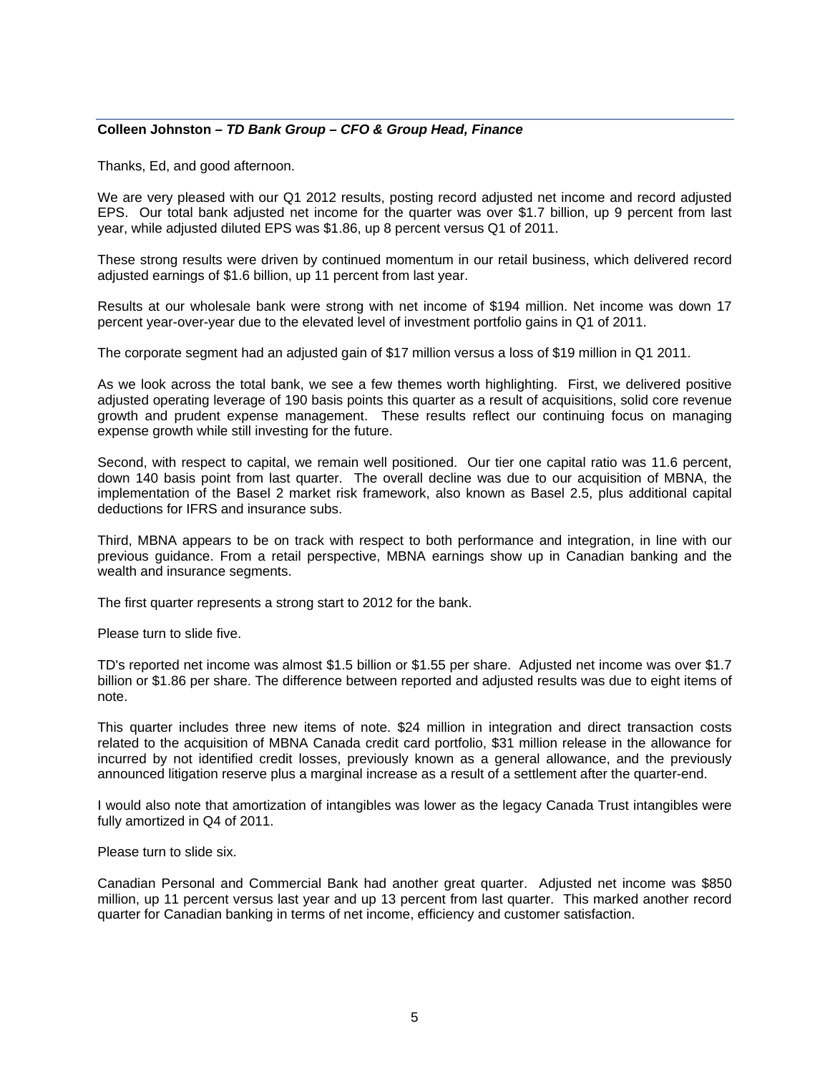## **Colleen Johnston** *– TD Bank Group – CFO & Group Head, Finance*

Thanks, Ed, and good afternoon.

We are very pleased with our Q1 2012 results, posting record adjusted net income and record adjusted EPS. Our total bank adjusted net income for the quarter was over \$1.7 billion, up 9 percent from last year, while adjusted diluted EPS was \$1.86, up 8 percent versus Q1 of 2011.

These strong results were driven by continued momentum in our retail business, which delivered record adjusted earnings of \$1.6 billion, up 11 percent from last year.

Results at our wholesale bank were strong with net income of \$194 million. Net income was down 17 percent year-over-year due to the elevated level of investment portfolio gains in Q1 of 2011.

The corporate segment had an adjusted gain of \$17 million versus a loss of \$19 million in Q1 2011.

As we look across the total bank, we see a few themes worth highlighting. First, we delivered positive adjusted operating leverage of 190 basis points this quarter as a result of acquisitions, solid core revenue growth and prudent expense management. These results reflect our continuing focus on managing expense growth while still investing for the future.

Second, with respect to capital, we remain well positioned. Our tier one capital ratio was 11.6 percent, down 140 basis point from last quarter. The overall decline was due to our acquisition of MBNA, the implementation of the Basel 2 market risk framework, also known as Basel 2.5, plus additional capital deductions for IFRS and insurance subs.

Third, MBNA appears to be on track with respect to both performance and integration, in line with our previous guidance. From a retail perspective, MBNA earnings show up in Canadian banking and the wealth and insurance segments.

The first quarter represents a strong start to 2012 for the bank.

Please turn to slide five.

TD's reported net income was almost \$1.5 billion or \$1.55 per share. Adjusted net income was over \$1.7 billion or \$1.86 per share. The difference between reported and adjusted results was due to eight items of note.

This quarter includes three new items of note. \$24 million in integration and direct transaction costs related to the acquisition of MBNA Canada credit card portfolio, \$31 million release in the allowance for incurred by not identified credit losses, previously known as a general allowance, and the previously announced litigation reserve plus a marginal increase as a result of a settlement after the quarter-end.

I would also note that amortization of intangibles was lower as the legacy Canada Trust intangibles were fully amortized in Q4 of 2011.

Please turn to slide six.

Canadian Personal and Commercial Bank had another great quarter. Adjusted net income was \$850 million, up 11 percent versus last year and up 13 percent from last quarter. This marked another record quarter for Canadian banking in terms of net income, efficiency and customer satisfaction.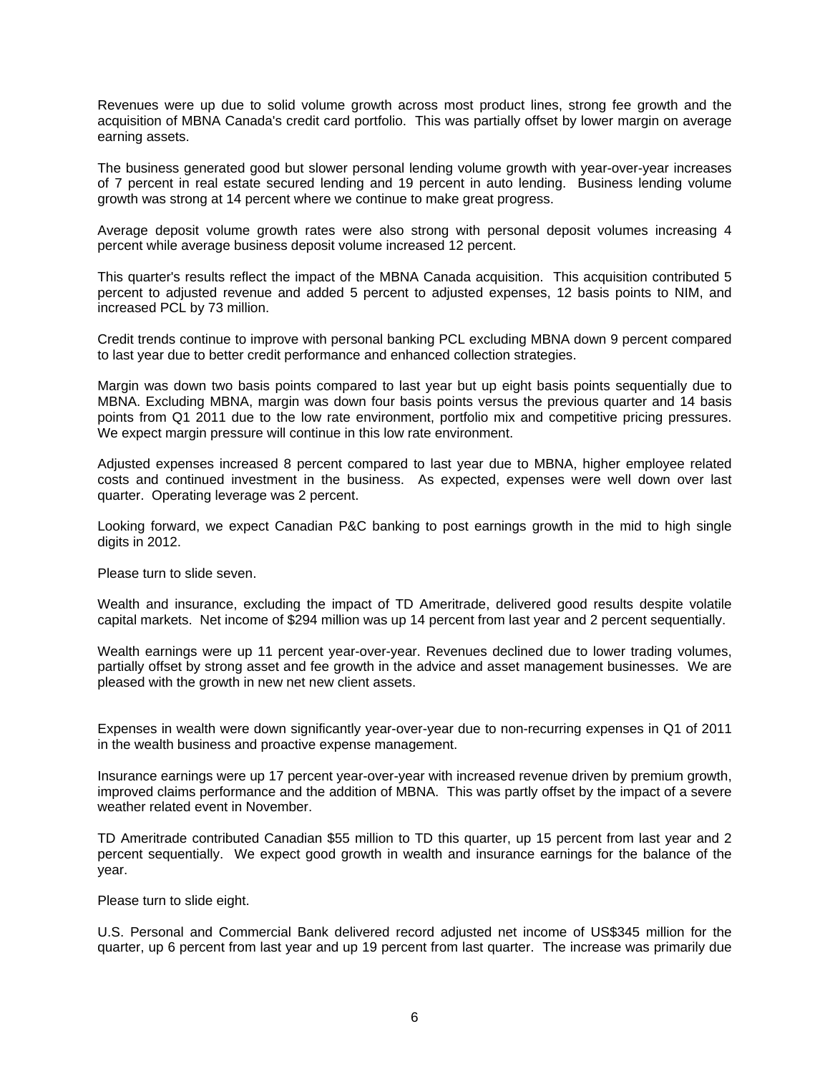Revenues were up due to solid volume growth across most product lines, strong fee growth and the acquisition of MBNA Canada's credit card portfolio. This was partially offset by lower margin on average earning assets.

The business generated good but slower personal lending volume growth with year-over-year increases of 7 percent in real estate secured lending and 19 percent in auto lending. Business lending volume growth was strong at 14 percent where we continue to make great progress.

Average deposit volume growth rates were also strong with personal deposit volumes increasing 4 percent while average business deposit volume increased 12 percent.

This quarter's results reflect the impact of the MBNA Canada acquisition. This acquisition contributed 5 percent to adjusted revenue and added 5 percent to adjusted expenses, 12 basis points to NIM, and increased PCL by 73 million.

Credit trends continue to improve with personal banking PCL excluding MBNA down 9 percent compared to last year due to better credit performance and enhanced collection strategies.

Margin was down two basis points compared to last year but up eight basis points sequentially due to MBNA. Excluding MBNA, margin was down four basis points versus the previous quarter and 14 basis points from Q1 2011 due to the low rate environment, portfolio mix and competitive pricing pressures. We expect margin pressure will continue in this low rate environment.

Adjusted expenses increased 8 percent compared to last year due to MBNA, higher employee related costs and continued investment in the business. As expected, expenses were well down over last quarter. Operating leverage was 2 percent.

Looking forward, we expect Canadian P&C banking to post earnings growth in the mid to high single digits in 2012.

Please turn to slide seven.

Wealth and insurance, excluding the impact of TD Ameritrade, delivered good results despite volatile capital markets. Net income of \$294 million was up 14 percent from last year and 2 percent sequentially.

Wealth earnings were up 11 percent year-over-year. Revenues declined due to lower trading volumes, partially offset by strong asset and fee growth in the advice and asset management businesses. We are pleased with the growth in new net new client assets.

Expenses in wealth were down significantly year-over-year due to non-recurring expenses in Q1 of 2011 in the wealth business and proactive expense management.

Insurance earnings were up 17 percent year-over-year with increased revenue driven by premium growth, improved claims performance and the addition of MBNA. This was partly offset by the impact of a severe weather related event in November.

TD Ameritrade contributed Canadian \$55 million to TD this quarter, up 15 percent from last year and 2 percent sequentially. We expect good growth in wealth and insurance earnings for the balance of the year.

Please turn to slide eight.

U.S. Personal and Commercial Bank delivered record adjusted net income of US\$345 million for the quarter, up 6 percent from last year and up 19 percent from last quarter. The increase was primarily due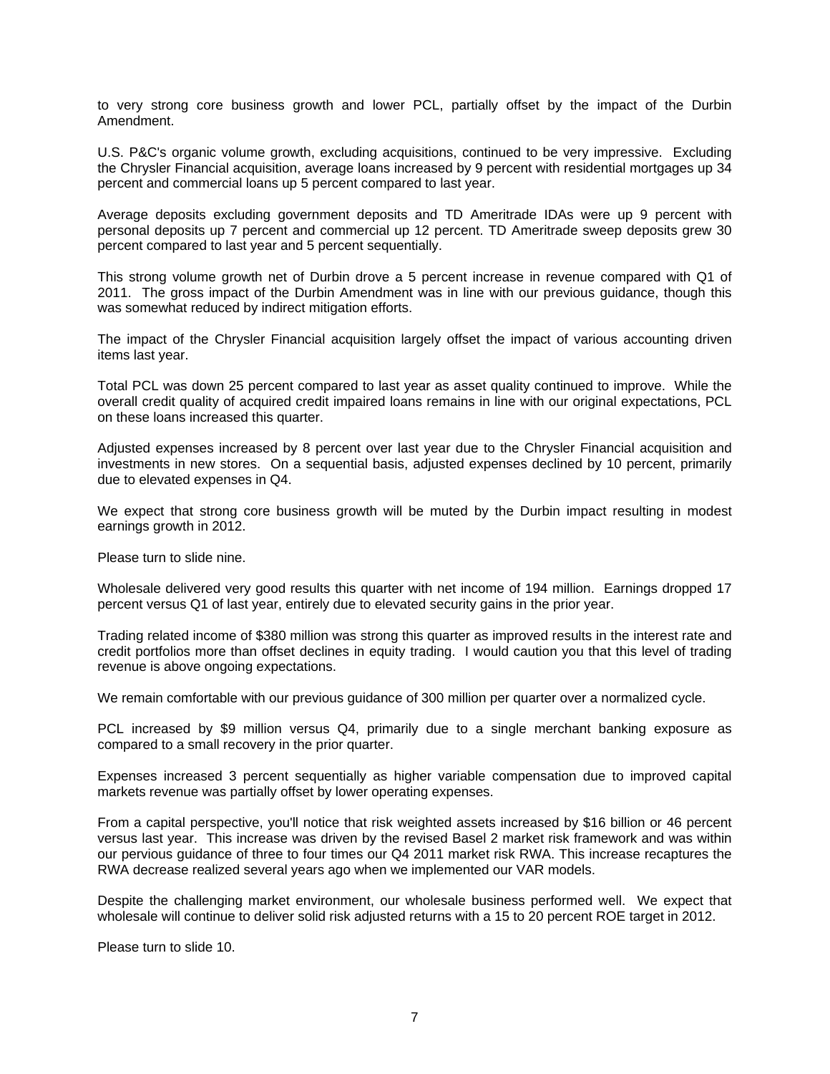to very strong core business growth and lower PCL, partially offset by the impact of the Durbin Amendment.

U.S. P&C's organic volume growth, excluding acquisitions, continued to be very impressive. Excluding the Chrysler Financial acquisition, average loans increased by 9 percent with residential mortgages up 34 percent and commercial loans up 5 percent compared to last year.

Average deposits excluding government deposits and TD Ameritrade IDAs were up 9 percent with personal deposits up 7 percent and commercial up 12 percent. TD Ameritrade sweep deposits grew 30 percent compared to last year and 5 percent sequentially.

This strong volume growth net of Durbin drove a 5 percent increase in revenue compared with Q1 of 2011. The gross impact of the Durbin Amendment was in line with our previous guidance, though this was somewhat reduced by indirect mitigation efforts.

The impact of the Chrysler Financial acquisition largely offset the impact of various accounting driven items last year.

Total PCL was down 25 percent compared to last year as asset quality continued to improve. While the overall credit quality of acquired credit impaired loans remains in line with our original expectations, PCL on these loans increased this quarter.

Adjusted expenses increased by 8 percent over last year due to the Chrysler Financial acquisition and investments in new stores. On a sequential basis, adjusted expenses declined by 10 percent, primarily due to elevated expenses in Q4.

We expect that strong core business growth will be muted by the Durbin impact resulting in modest earnings growth in 2012.

Please turn to slide nine.

Wholesale delivered very good results this quarter with net income of 194 million. Earnings dropped 17 percent versus Q1 of last year, entirely due to elevated security gains in the prior year.

Trading related income of \$380 million was strong this quarter as improved results in the interest rate and credit portfolios more than offset declines in equity trading. I would caution you that this level of trading revenue is above ongoing expectations.

We remain comfortable with our previous guidance of 300 million per quarter over a normalized cycle.

PCL increased by \$9 million versus Q4, primarily due to a single merchant banking exposure as compared to a small recovery in the prior quarter.

Expenses increased 3 percent sequentially as higher variable compensation due to improved capital markets revenue was partially offset by lower operating expenses.

From a capital perspective, you'll notice that risk weighted assets increased by \$16 billion or 46 percent versus last year. This increase was driven by the revised Basel 2 market risk framework and was within our pervious guidance of three to four times our Q4 2011 market risk RWA. This increase recaptures the RWA decrease realized several years ago when we implemented our VAR models.

Despite the challenging market environment, our wholesale business performed well. We expect that wholesale will continue to deliver solid risk adjusted returns with a 15 to 20 percent ROE target in 2012.

Please turn to slide 10.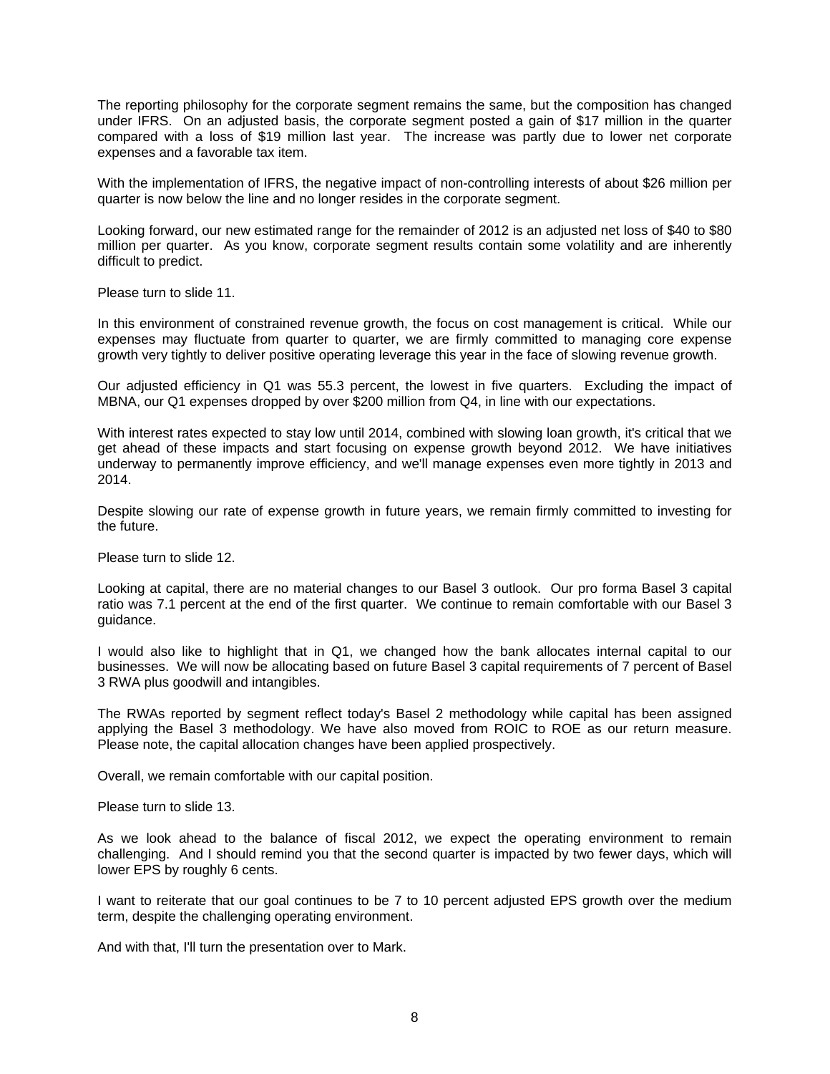The reporting philosophy for the corporate segment remains the same, but the composition has changed under IFRS. On an adjusted basis, the corporate segment posted a gain of \$17 million in the quarter compared with a loss of \$19 million last year. The increase was partly due to lower net corporate expenses and a favorable tax item.

With the implementation of IFRS, the negative impact of non-controlling interests of about \$26 million per quarter is now below the line and no longer resides in the corporate segment.

Looking forward, our new estimated range for the remainder of 2012 is an adjusted net loss of \$40 to \$80 million per quarter. As you know, corporate segment results contain some volatility and are inherently difficult to predict.

Please turn to slide 11.

In this environment of constrained revenue growth, the focus on cost management is critical. While our expenses may fluctuate from quarter to quarter, we are firmly committed to managing core expense growth very tightly to deliver positive operating leverage this year in the face of slowing revenue growth.

Our adjusted efficiency in Q1 was 55.3 percent, the lowest in five quarters. Excluding the impact of MBNA, our Q1 expenses dropped by over \$200 million from Q4, in line with our expectations.

With interest rates expected to stay low until 2014, combined with slowing loan growth, it's critical that we get ahead of these impacts and start focusing on expense growth beyond 2012. We have initiatives underway to permanently improve efficiency, and we'll manage expenses even more tightly in 2013 and 2014.

Despite slowing our rate of expense growth in future years, we remain firmly committed to investing for the future.

Please turn to slide 12.

Looking at capital, there are no material changes to our Basel 3 outlook. Our pro forma Basel 3 capital ratio was 7.1 percent at the end of the first quarter. We continue to remain comfortable with our Basel 3 guidance.

I would also like to highlight that in Q1, we changed how the bank allocates internal capital to our businesses. We will now be allocating based on future Basel 3 capital requirements of 7 percent of Basel 3 RWA plus goodwill and intangibles.

The RWAs reported by segment reflect today's Basel 2 methodology while capital has been assigned applying the Basel 3 methodology. We have also moved from ROIC to ROE as our return measure. Please note, the capital allocation changes have been applied prospectively.

Overall, we remain comfortable with our capital position.

Please turn to slide 13.

As we look ahead to the balance of fiscal 2012, we expect the operating environment to remain challenging. And I should remind you that the second quarter is impacted by two fewer days, which will lower EPS by roughly 6 cents.

I want to reiterate that our goal continues to be 7 to 10 percent adjusted EPS growth over the medium term, despite the challenging operating environment.

And with that, I'll turn the presentation over to Mark.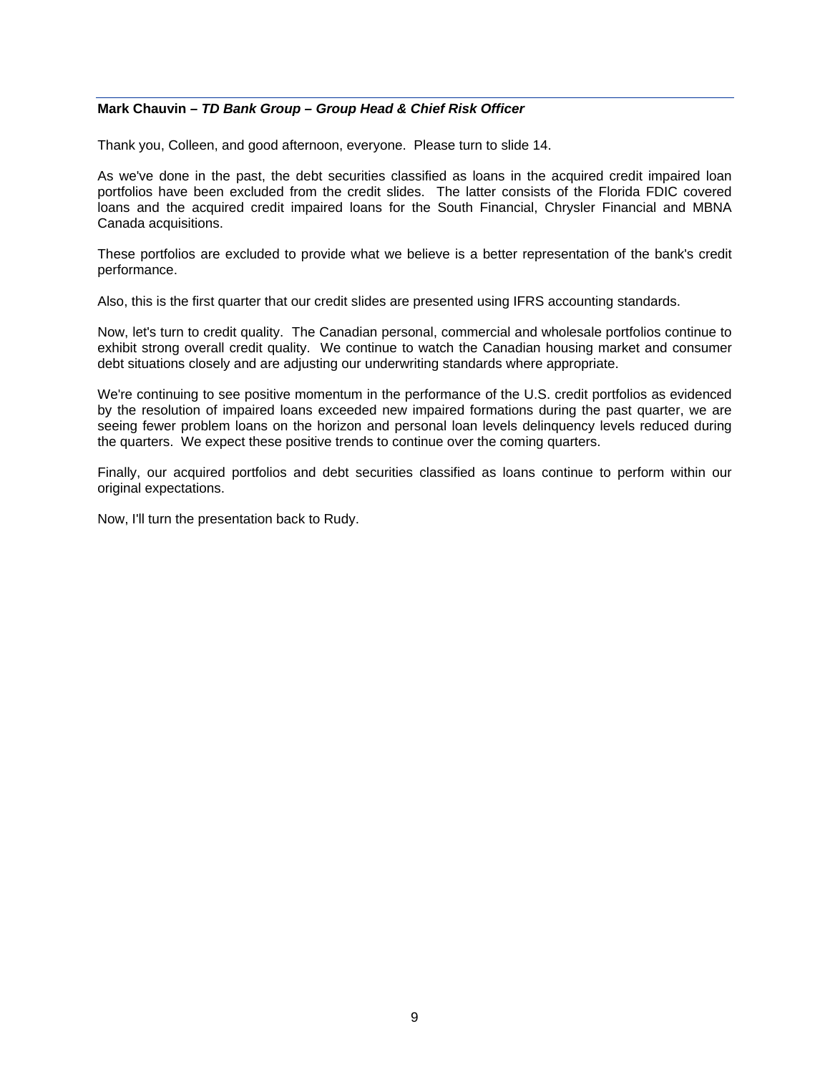## **Mark Chauvin** *– TD Bank Group – Group Head & Chief Risk Officer*

Thank you, Colleen, and good afternoon, everyone. Please turn to slide 14.

As we've done in the past, the debt securities classified as loans in the acquired credit impaired loan portfolios have been excluded from the credit slides. The latter consists of the Florida FDIC covered loans and the acquired credit impaired loans for the South Financial, Chrysler Financial and MBNA Canada acquisitions.

These portfolios are excluded to provide what we believe is a better representation of the bank's credit performance.

Also, this is the first quarter that our credit slides are presented using IFRS accounting standards.

Now, let's turn to credit quality. The Canadian personal, commercial and wholesale portfolios continue to exhibit strong overall credit quality. We continue to watch the Canadian housing market and consumer debt situations closely and are adjusting our underwriting standards where appropriate.

We're continuing to see positive momentum in the performance of the U.S. credit portfolios as evidenced by the resolution of impaired loans exceeded new impaired formations during the past quarter, we are seeing fewer problem loans on the horizon and personal loan levels delinquency levels reduced during the quarters. We expect these positive trends to continue over the coming quarters.

Finally, our acquired portfolios and debt securities classified as loans continue to perform within our original expectations.

Now, I'll turn the presentation back to Rudy.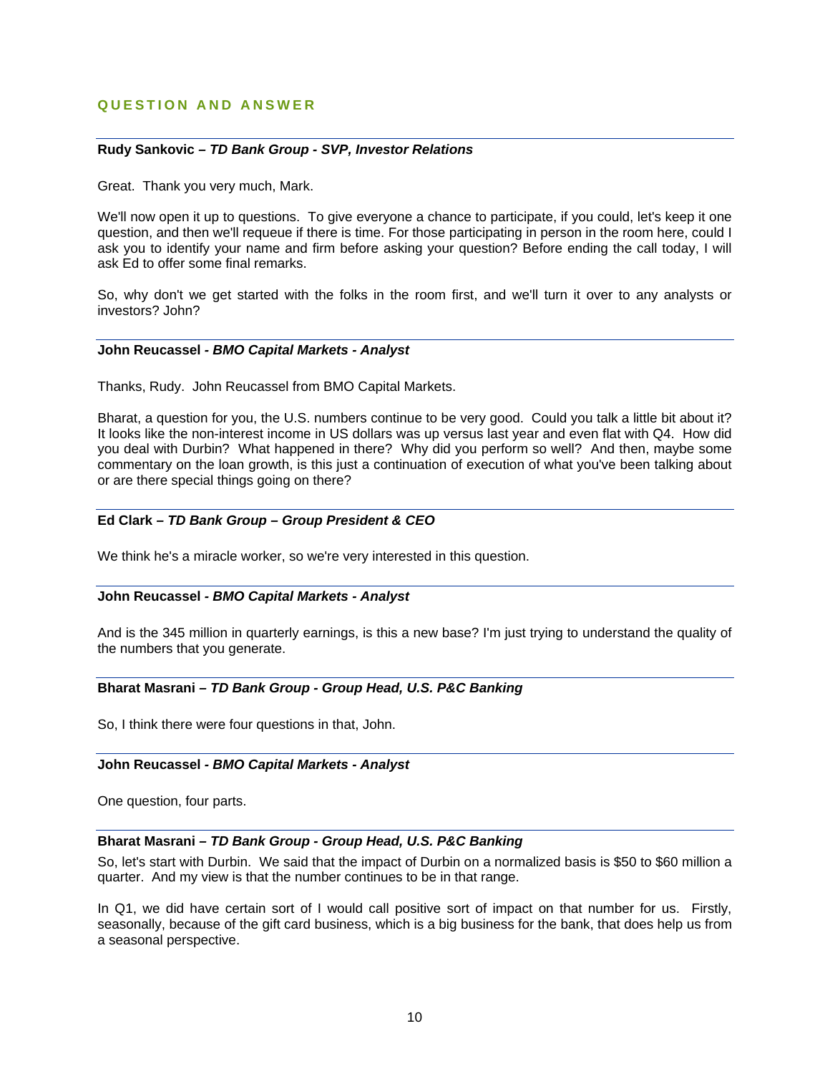## **QUESTION AND ANSWER**

### **Rudy Sankovic** *– TD Bank Group - SVP, Investor Relations*

Great. Thank you very much, Mark.

We'll now open it up to questions. To give everyone a chance to participate, if you could, let's keep it one question, and then we'll requeue if there is time. For those participating in person in the room here, could I ask you to identify your name and firm before asking your question? Before ending the call today, I will ask Ed to offer some final remarks.

So, why don't we get started with the folks in the room first, and we'll turn it over to any analysts or investors? John?

#### **John Reucassel** *- BMO Capital Markets - Analyst*

Thanks, Rudy. John Reucassel from BMO Capital Markets.

Bharat, a question for you, the U.S. numbers continue to be very good. Could you talk a little bit about it? It looks like the non-interest income in US dollars was up versus last year and even flat with Q4. How did you deal with Durbin? What happened in there? Why did you perform so well? And then, maybe some commentary on the loan growth, is this just a continuation of execution of what you've been talking about or are there special things going on there?

### **Ed Clark** *– TD Bank Group – Group President & CEO*

We think he's a miracle worker, so we're very interested in this question.

### **John Reucassel** *- BMO Capital Markets - Analyst*

And is the 345 million in quarterly earnings, is this a new base? I'm just trying to understand the quality of the numbers that you generate.

## **Bharat Masrani** *– TD Bank Group - Group Head, U.S. P&C Banking*

So, I think there were four questions in that, John.

### **John Reucassel** *- BMO Capital Markets - Analyst*

One question, four parts.

### **Bharat Masrani** *– TD Bank Group - Group Head, U.S. P&C Banking*

So, let's start with Durbin. We said that the impact of Durbin on a normalized basis is \$50 to \$60 million a quarter. And my view is that the number continues to be in that range.

In Q1, we did have certain sort of I would call positive sort of impact on that number for us. Firstly, seasonally, because of the gift card business, which is a big business for the bank, that does help us from a seasonal perspective.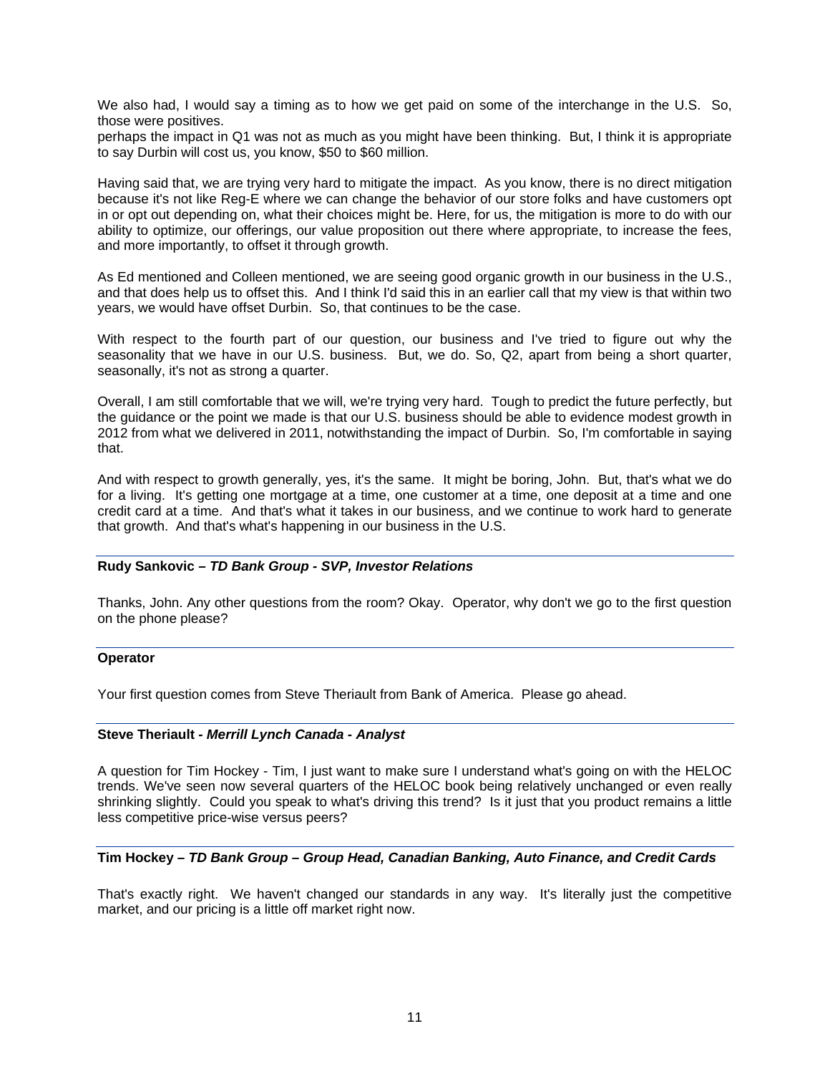We also had, I would say a timing as to how we get paid on some of the interchange in the U.S. So, those were positives.

perhaps the impact in Q1 was not as much as you might have been thinking. But, I think it is appropriate to say Durbin will cost us, you know, \$50 to \$60 million.

Having said that, we are trying very hard to mitigate the impact. As you know, there is no direct mitigation because it's not like Reg-E where we can change the behavior of our store folks and have customers opt in or opt out depending on, what their choices might be. Here, for us, the mitigation is more to do with our ability to optimize, our offerings, our value proposition out there where appropriate, to increase the fees, and more importantly, to offset it through growth.

As Ed mentioned and Colleen mentioned, we are seeing good organic growth in our business in the U.S., and that does help us to offset this. And I think I'd said this in an earlier call that my view is that within two years, we would have offset Durbin. So, that continues to be the case.

With respect to the fourth part of our question, our business and I've tried to figure out why the seasonality that we have in our U.S. business. But, we do. So, Q2, apart from being a short quarter, seasonally, it's not as strong a quarter.

Overall, I am still comfortable that we will, we're trying very hard. Tough to predict the future perfectly, but the guidance or the point we made is that our U.S. business should be able to evidence modest growth in 2012 from what we delivered in 2011, notwithstanding the impact of Durbin. So, I'm comfortable in saying that.

And with respect to growth generally, yes, it's the same. It might be boring, John. But, that's what we do for a living. It's getting one mortgage at a time, one customer at a time, one deposit at a time and one credit card at a time. And that's what it takes in our business, and we continue to work hard to generate that growth. And that's what's happening in our business in the U.S.

### **Rudy Sankovic** *– TD Bank Group - SVP, Investor Relations*

Thanks, John. Any other questions from the room? Okay. Operator, why don't we go to the first question on the phone please?

### **Operator**

Your first question comes from Steve Theriault from Bank of America. Please go ahead.

### **Steve Theriault** *- Merrill Lynch Canada - Analyst*

A question for Tim Hockey - Tim, I just want to make sure I understand what's going on with the HELOC trends. We've seen now several quarters of the HELOC book being relatively unchanged or even really shrinking slightly. Could you speak to what's driving this trend? Is it just that you product remains a little less competitive price-wise versus peers?

## **Tim Hockey** *– TD Bank Group – Group Head, Canadian Banking, Auto Finance, and Credit Cards*

That's exactly right. We haven't changed our standards in any way. It's literally just the competitive market, and our pricing is a little off market right now.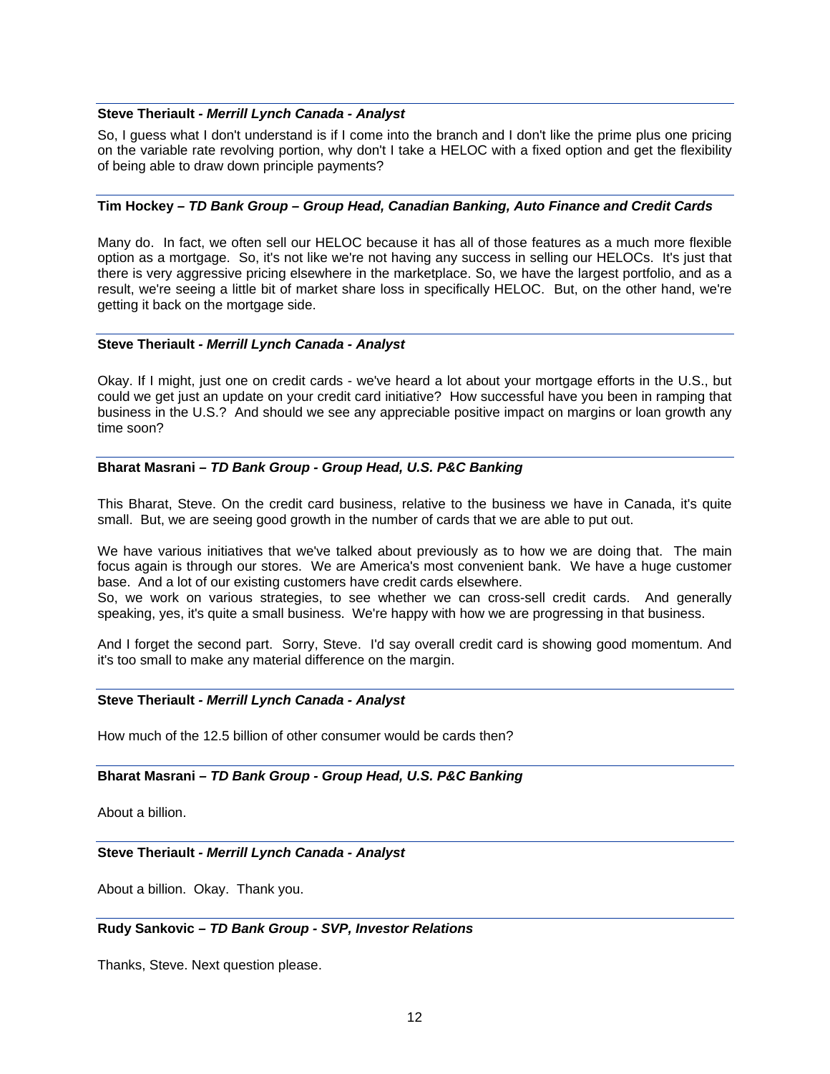#### **Steve Theriault** *- Merrill Lynch Canada - Analyst*

So, I guess what I don't understand is if I come into the branch and I don't like the prime plus one pricing on the variable rate revolving portion, why don't I take a HELOC with a fixed option and get the flexibility of being able to draw down principle payments?

### **Tim Hockey** *– TD Bank Group – Group Head, Canadian Banking, Auto Finance and Credit Cards*

Many do. In fact, we often sell our HELOC because it has all of those features as a much more flexible option as a mortgage. So, it's not like we're not having any success in selling our HELOCs. It's just that there is very aggressive pricing elsewhere in the marketplace. So, we have the largest portfolio, and as a result, we're seeing a little bit of market share loss in specifically HELOC. But, on the other hand, we're getting it back on the mortgage side.

### **Steve Theriault** *- Merrill Lynch Canada - Analyst*

Okay. If I might, just one on credit cards - we've heard a lot about your mortgage efforts in the U.S., but could we get just an update on your credit card initiative? How successful have you been in ramping that business in the U.S.? And should we see any appreciable positive impact on margins or loan growth any time soon?

## **Bharat Masrani** *– TD Bank Group - Group Head, U.S. P&C Banking*

This Bharat, Steve. On the credit card business, relative to the business we have in Canada, it's quite small. But, we are seeing good growth in the number of cards that we are able to put out.

We have various initiatives that we've talked about previously as to how we are doing that. The main focus again is through our stores. We are America's most convenient bank. We have a huge customer base. And a lot of our existing customers have credit cards elsewhere.

So, we work on various strategies, to see whether we can cross-sell credit cards. And generally speaking, yes, it's quite a small business. We're happy with how we are progressing in that business.

And I forget the second part. Sorry, Steve. I'd say overall credit card is showing good momentum. And it's too small to make any material difference on the margin.

### **Steve Theriault** *- Merrill Lynch Canada - Analyst*

How much of the 12.5 billion of other consumer would be cards then?

### **Bharat Masrani** *– TD Bank Group - Group Head, U.S. P&C Banking*

About a billion.

### **Steve Theriault** *- Merrill Lynch Canada - Analyst*

About a billion. Okay. Thank you.

### **Rudy Sankovic** *– TD Bank Group - SVP, Investor Relations*

Thanks, Steve. Next question please.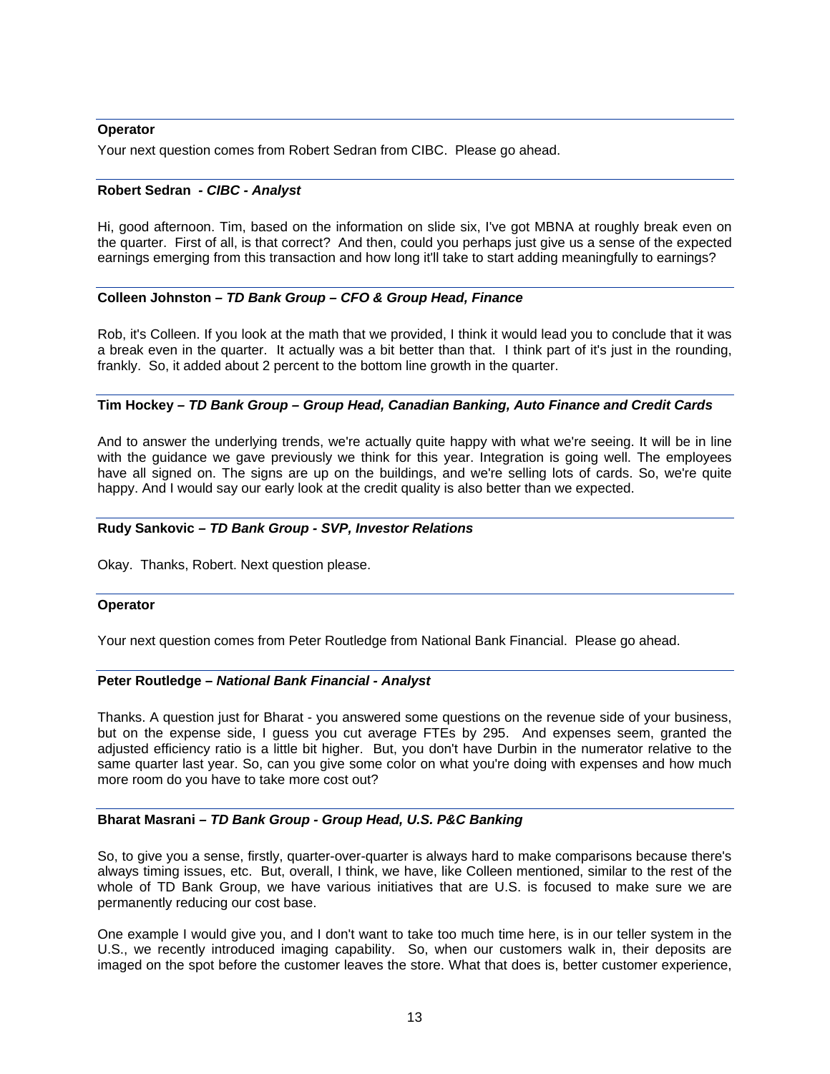#### **Operator**

Your next question comes from Robert Sedran from CIBC. Please go ahead.

#### **Robert Sedran** *- CIBC - Analyst*

Hi, good afternoon. Tim, based on the information on slide six, I've got MBNA at roughly break even on the quarter. First of all, is that correct? And then, could you perhaps just give us a sense of the expected earnings emerging from this transaction and how long it'll take to start adding meaningfully to earnings?

#### **Colleen Johnston** *– TD Bank Group – CFO & Group Head, Finance*

Rob, it's Colleen. If you look at the math that we provided, I think it would lead you to conclude that it was a break even in the quarter. It actually was a bit better than that. I think part of it's just in the rounding, frankly. So, it added about 2 percent to the bottom line growth in the quarter.

#### **Tim Hockey** *– TD Bank Group – Group Head, Canadian Banking, Auto Finance and Credit Cards*

And to answer the underlying trends, we're actually quite happy with what we're seeing. It will be in line with the guidance we gave previously we think for this year. Integration is going well. The employees have all signed on. The signs are up on the buildings, and we're selling lots of cards. So, we're quite happy. And I would say our early look at the credit quality is also better than we expected.

#### **Rudy Sankovic** *– TD Bank Group - SVP, Investor Relations*

Okay. Thanks, Robert. Next question please.

#### **Operator**

Your next question comes from Peter Routledge from National Bank Financial. Please go ahead.

#### **Peter Routledge –** *National Bank Financial - Analyst*

Thanks. A question just for Bharat - you answered some questions on the revenue side of your business, but on the expense side, I guess you cut average FTEs by 295. And expenses seem, granted the adjusted efficiency ratio is a little bit higher. But, you don't have Durbin in the numerator relative to the same quarter last year. So, can you give some color on what you're doing with expenses and how much more room do you have to take more cost out?

### **Bharat Masrani** *– TD Bank Group - Group Head, U.S. P&C Banking*

So, to give you a sense, firstly, quarter-over-quarter is always hard to make comparisons because there's always timing issues, etc. But, overall, I think, we have, like Colleen mentioned, similar to the rest of the whole of TD Bank Group, we have various initiatives that are U.S. is focused to make sure we are permanently reducing our cost base.

One example I would give you, and I don't want to take too much time here, is in our teller system in the U.S., we recently introduced imaging capability. So, when our customers walk in, their deposits are imaged on the spot before the customer leaves the store. What that does is, better customer experience,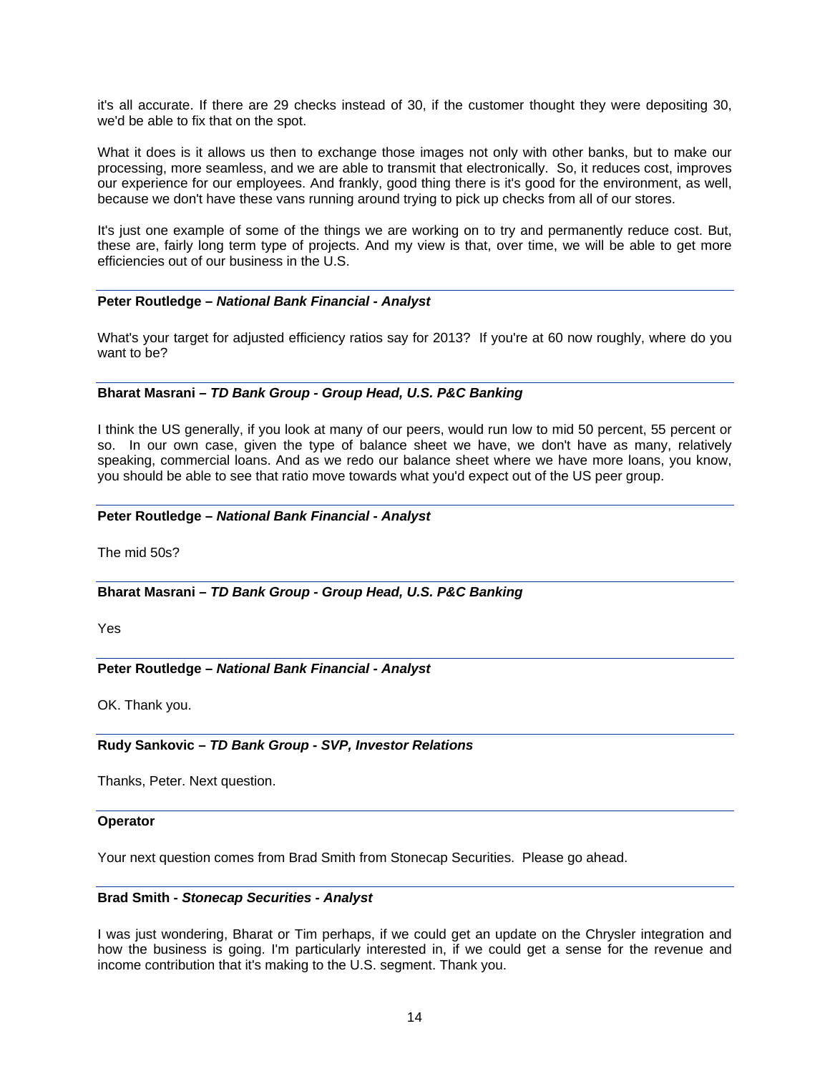it's all accurate. If there are 29 checks instead of 30, if the customer thought they were depositing 30, we'd be able to fix that on the spot.

What it does is it allows us then to exchange those images not only with other banks, but to make our processing, more seamless, and we are able to transmit that electronically. So, it reduces cost, improves our experience for our employees. And frankly, good thing there is it's good for the environment, as well, because we don't have these vans running around trying to pick up checks from all of our stores.

It's just one example of some of the things we are working on to try and permanently reduce cost. But, these are, fairly long term type of projects. And my view is that, over time, we will be able to get more efficiencies out of our business in the U.S.

### **Peter Routledge –** *National Bank Financial - Analyst*

What's your target for adjusted efficiency ratios say for 2013? If you're at 60 now roughly, where do you want to be?

### **Bharat Masrani** *– TD Bank Group - Group Head, U.S. P&C Banking*

I think the US generally, if you look at many of our peers, would run low to mid 50 percent, 55 percent or so. In our own case, given the type of balance sheet we have, we don't have as many, relatively speaking, commercial loans. And as we redo our balance sheet where we have more loans, you know, you should be able to see that ratio move towards what you'd expect out of the US peer group.

#### **Peter Routledge –** *National Bank Financial - Analyst*

The mid 50s?

### **Bharat Masrani** *– TD Bank Group - Group Head, U.S. P&C Banking*

Yes

### **Peter Routledge –** *National Bank Financial - Analyst*

OK. Thank you.

### **Rudy Sankovic** *– TD Bank Group - SVP, Investor Relations*

Thanks, Peter. Next question.

#### **Operator**

Your next question comes from Brad Smith from Stonecap Securities. Please go ahead.

#### **Brad Smith** *- Stonecap Securities - Analyst*

I was just wondering, Bharat or Tim perhaps, if we could get an update on the Chrysler integration and how the business is going. I'm particularly interested in, if we could get a sense for the revenue and income contribution that it's making to the U.S. segment. Thank you.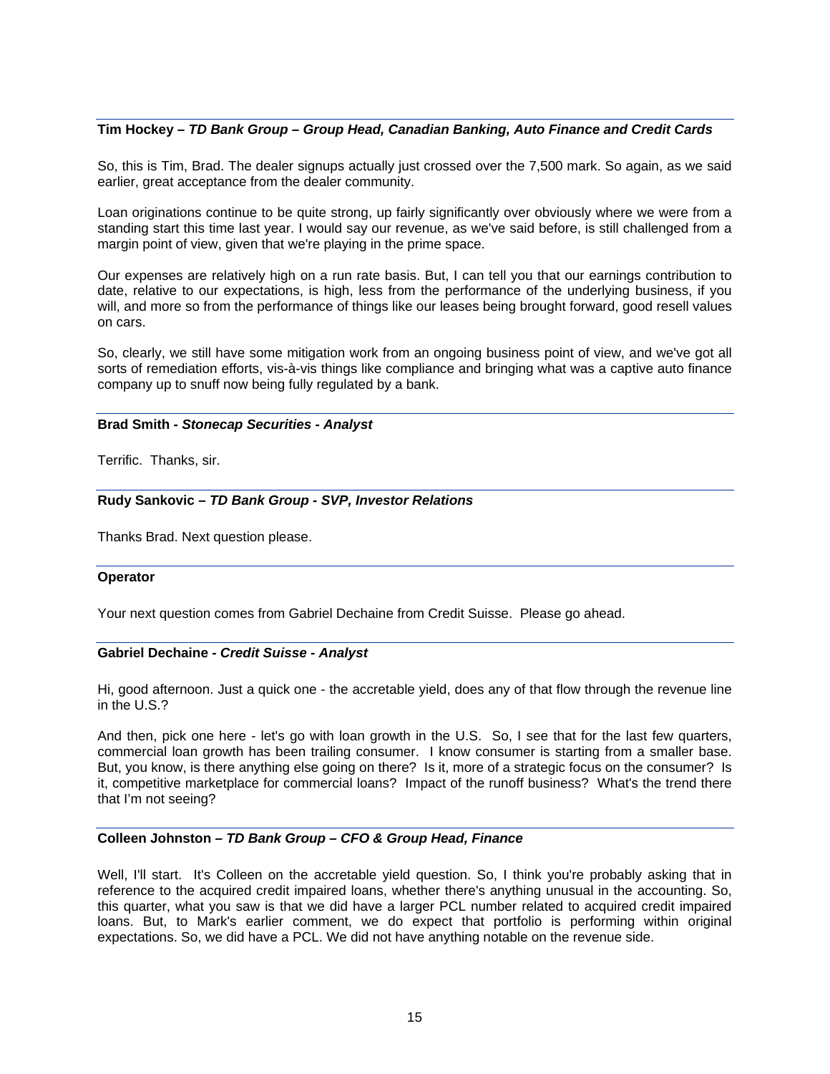### **Tim Hockey** *– TD Bank Group – Group Head, Canadian Banking, Auto Finance and Credit Cards*

So, this is Tim, Brad. The dealer signups actually just crossed over the 7,500 mark. So again, as we said earlier, great acceptance from the dealer community.

Loan originations continue to be quite strong, up fairly significantly over obviously where we were from a standing start this time last year. I would say our revenue, as we've said before, is still challenged from a margin point of view, given that we're playing in the prime space.

Our expenses are relatively high on a run rate basis. But, I can tell you that our earnings contribution to date, relative to our expectations, is high, less from the performance of the underlying business, if you will, and more so from the performance of things like our leases being brought forward, good resell values on cars.

So, clearly, we still have some mitigation work from an ongoing business point of view, and we've got all sorts of remediation efforts, vis-à-vis things like compliance and bringing what was a captive auto finance company up to snuff now being fully regulated by a bank.

## **Brad Smith** *- Stonecap Securities - Analyst*

Terrific. Thanks, sir.

### **Rudy Sankovic** *– TD Bank Group - SVP, Investor Relations*

Thanks Brad. Next question please.

#### **Operator**

Your next question comes from Gabriel Dechaine from Credit Suisse. Please go ahead.

### **Gabriel Dechaine** *- Credit Suisse - Analyst*

Hi, good afternoon. Just a quick one - the accretable yield, does any of that flow through the revenue line in the U.S.?

And then, pick one here - let's go with loan growth in the U.S. So, I see that for the last few quarters, commercial loan growth has been trailing consumer. I know consumer is starting from a smaller base. But, you know, is there anything else going on there? Is it, more of a strategic focus on the consumer? Is it, competitive marketplace for commercial loans? Impact of the runoff business? What's the trend there that I'm not seeing?

### **Colleen Johnston** *– TD Bank Group – CFO & Group Head, Finance*

Well, I'll start. It's Colleen on the accretable yield question. So, I think you're probably asking that in reference to the acquired credit impaired loans, whether there's anything unusual in the accounting. So, this quarter, what you saw is that we did have a larger PCL number related to acquired credit impaired loans. But, to Mark's earlier comment, we do expect that portfolio is performing within original expectations. So, we did have a PCL. We did not have anything notable on the revenue side.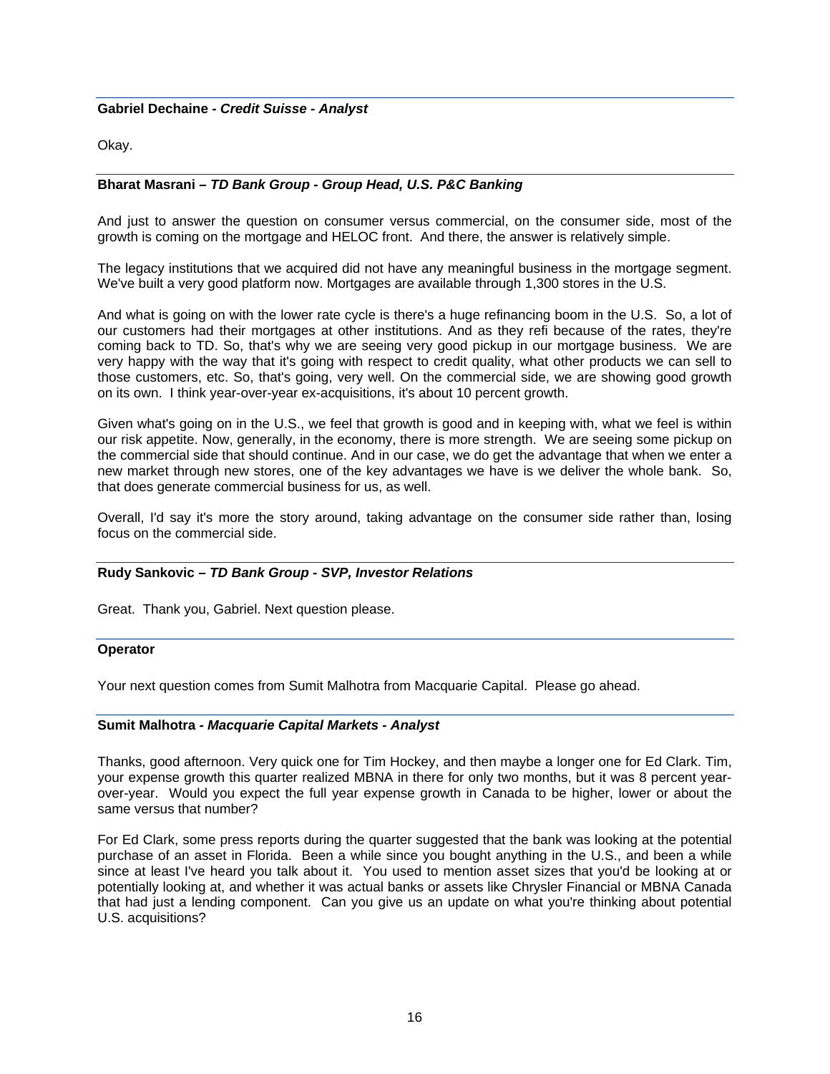## **Gabriel Dechaine** *- Credit Suisse - Analyst*

Okay.

## **Bharat Masrani** *– TD Bank Group - Group Head, U.S. P&C Banking*

And just to answer the question on consumer versus commercial, on the consumer side, most of the growth is coming on the mortgage and HELOC front. And there, the answer is relatively simple.

The legacy institutions that we acquired did not have any meaningful business in the mortgage segment. We've built a very good platform now. Mortgages are available through 1,300 stores in the U.S.

And what is going on with the lower rate cycle is there's a huge refinancing boom in the U.S. So, a lot of our customers had their mortgages at other institutions. And as they refi because of the rates, they're coming back to TD. So, that's why we are seeing very good pickup in our mortgage business. We are very happy with the way that it's going with respect to credit quality, what other products we can sell to those customers, etc. So, that's going, very well. On the commercial side, we are showing good growth on its own. I think year-over-year ex-acquisitions, it's about 10 percent growth.

Given what's going on in the U.S., we feel that growth is good and in keeping with, what we feel is within our risk appetite. Now, generally, in the economy, there is more strength. We are seeing some pickup on the commercial side that should continue. And in our case, we do get the advantage that when we enter a new market through new stores, one of the key advantages we have is we deliver the whole bank. So, that does generate commercial business for us, as well.

Overall, I'd say it's more the story around, taking advantage on the consumer side rather than, losing focus on the commercial side.

### **Rudy Sankovic** *– TD Bank Group - SVP, Investor Relations*

Great. Thank you, Gabriel. Next question please.

#### **Operator**

Your next question comes from Sumit Malhotra from Macquarie Capital. Please go ahead.

#### **Sumit Malhotra** *- Macquarie Capital Markets - Analyst*

Thanks, good afternoon. Very quick one for Tim Hockey, and then maybe a longer one for Ed Clark. Tim, your expense growth this quarter realized MBNA in there for only two months, but it was 8 percent yearover-year. Would you expect the full year expense growth in Canada to be higher, lower or about the same versus that number?

For Ed Clark, some press reports during the quarter suggested that the bank was looking at the potential purchase of an asset in Florida. Been a while since you bought anything in the U.S., and been a while since at least I've heard you talk about it. You used to mention asset sizes that you'd be looking at or potentially looking at, and whether it was actual banks or assets like Chrysler Financial or MBNA Canada that had just a lending component. Can you give us an update on what you're thinking about potential U.S. acquisitions?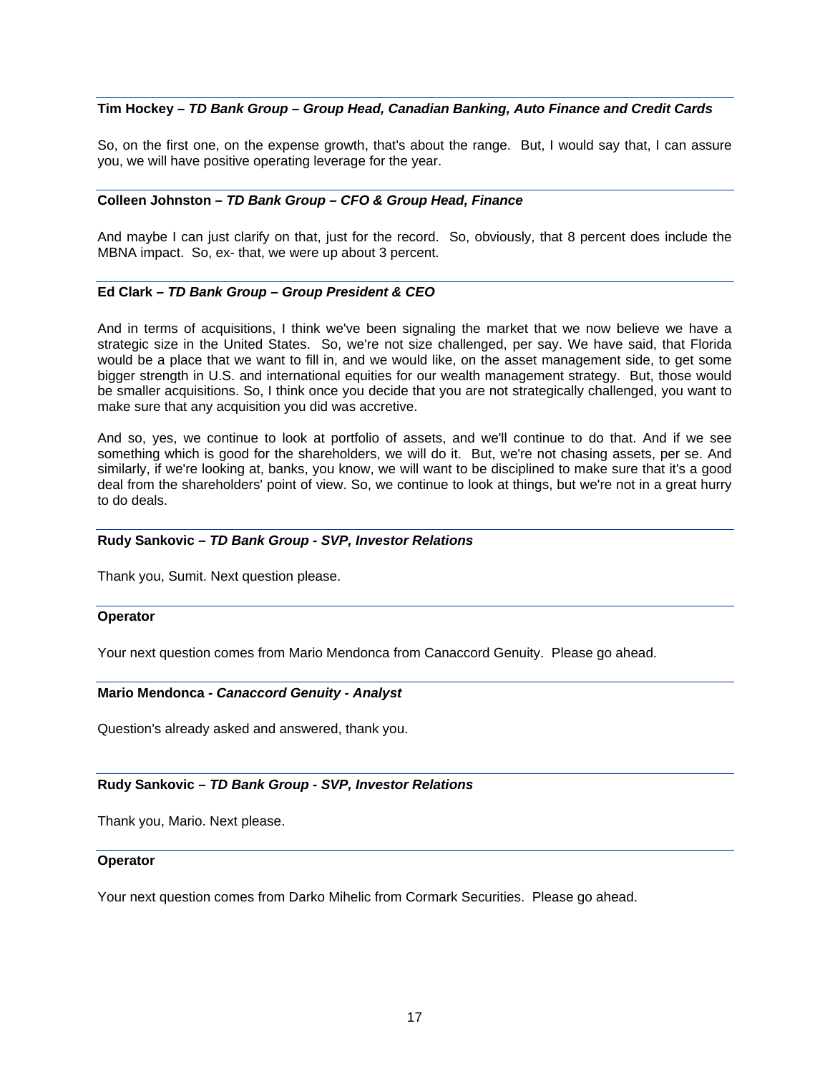## **Tim Hockey** *– TD Bank Group – Group Head, Canadian Banking, Auto Finance and Credit Cards*

So, on the first one, on the expense growth, that's about the range. But, I would say that, I can assure you, we will have positive operating leverage for the year.

## **Colleen Johnston** *– TD Bank Group – CFO & Group Head, Finance*

And maybe I can just clarify on that, just for the record. So, obviously, that 8 percent does include the MBNA impact. So, ex- that, we were up about 3 percent.

## **Ed Clark** *– TD Bank Group – Group President & CEO*

And in terms of acquisitions, I think we've been signaling the market that we now believe we have a strategic size in the United States. So, we're not size challenged, per say. We have said, that Florida would be a place that we want to fill in, and we would like, on the asset management side, to get some bigger strength in U.S. and international equities for our wealth management strategy. But, those would be smaller acquisitions. So, I think once you decide that you are not strategically challenged, you want to make sure that any acquisition you did was accretive.

And so, yes, we continue to look at portfolio of assets, and we'll continue to do that. And if we see something which is good for the shareholders, we will do it. But, we're not chasing assets, per se. And similarly, if we're looking at, banks, you know, we will want to be disciplined to make sure that it's a good deal from the shareholders' point of view. So, we continue to look at things, but we're not in a great hurry to do deals.

#### **Rudy Sankovic** *– TD Bank Group - SVP, Investor Relations*

Thank you, Sumit. Next question please.

#### **Operator**

Your next question comes from Mario Mendonca from Canaccord Genuity. Please go ahead.

#### **Mario Mendonca** *- Canaccord Genuity - Analyst*

Question's already asked and answered, thank you.

#### **Rudy Sankovic** *– TD Bank Group - SVP, Investor Relations*

Thank you, Mario. Next please.

#### **Operator**

Your next question comes from Darko Mihelic from Cormark Securities. Please go ahead.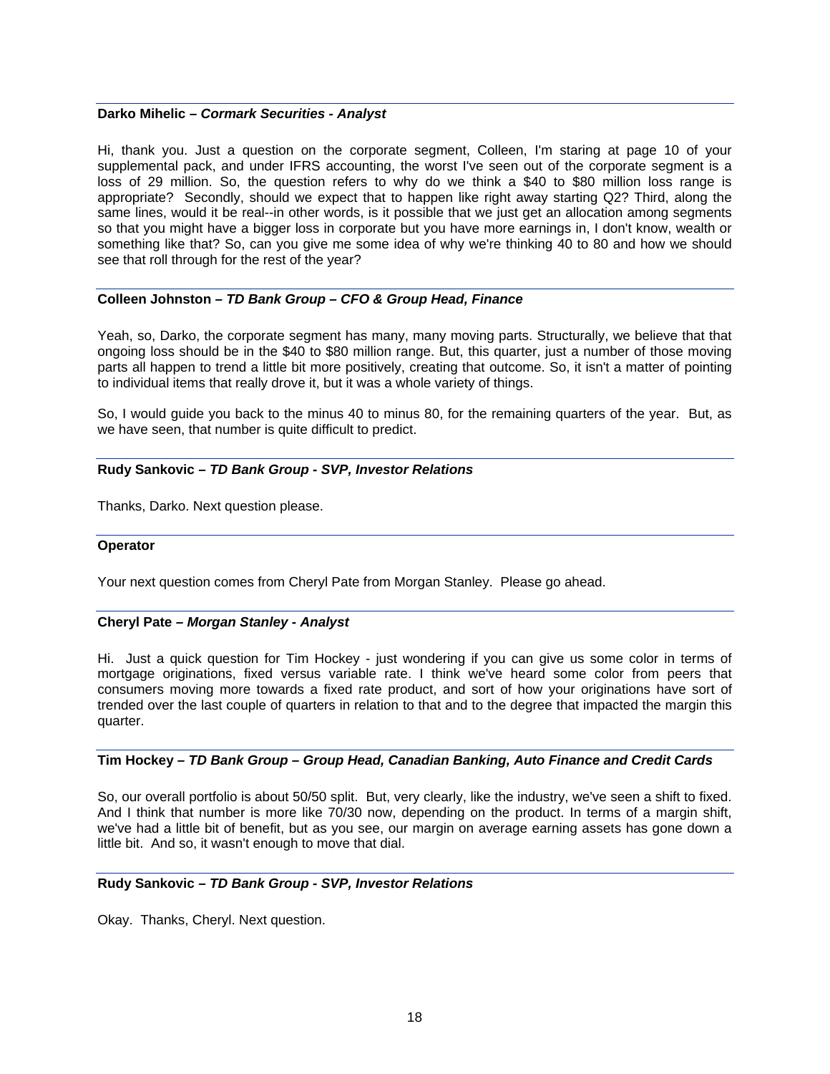#### **Darko Mihelic –** *Cormark Securities - Analyst*

Hi, thank you. Just a question on the corporate segment, Colleen, I'm staring at page 10 of your supplemental pack, and under IFRS accounting, the worst I've seen out of the corporate segment is a loss of 29 million. So, the question refers to why do we think a \$40 to \$80 million loss range is appropriate? Secondly, should we expect that to happen like right away starting Q2? Third, along the same lines, would it be real--in other words, is it possible that we just get an allocation among segments so that you might have a bigger loss in corporate but you have more earnings in, I don't know, wealth or something like that? So, can you give me some idea of why we're thinking 40 to 80 and how we should see that roll through for the rest of the year?

## **Colleen Johnston** *– TD Bank Group – CFO & Group Head, Finance*

Yeah, so, Darko, the corporate segment has many, many moving parts. Structurally, we believe that that ongoing loss should be in the \$40 to \$80 million range. But, this quarter, just a number of those moving parts all happen to trend a little bit more positively, creating that outcome. So, it isn't a matter of pointing to individual items that really drove it, but it was a whole variety of things.

So, I would guide you back to the minus 40 to minus 80, for the remaining quarters of the year. But, as we have seen, that number is quite difficult to predict.

### **Rudy Sankovic** *– TD Bank Group - SVP, Investor Relations*

Thanks, Darko. Next question please.

### **Operator**

Your next question comes from Cheryl Pate from Morgan Stanley. Please go ahead.

### **Cheryl Pate** *– Morgan Stanley - Analyst*

Hi. Just a quick question for Tim Hockey - just wondering if you can give us some color in terms of mortgage originations, fixed versus variable rate. I think we've heard some color from peers that consumers moving more towards a fixed rate product, and sort of how your originations have sort of trended over the last couple of quarters in relation to that and to the degree that impacted the margin this quarter.

## **Tim Hockey** *– TD Bank Group – Group Head, Canadian Banking, Auto Finance and Credit Cards*

So, our overall portfolio is about 50/50 split. But, very clearly, like the industry, we've seen a shift to fixed. And I think that number is more like 70/30 now, depending on the product. In terms of a margin shift, we've had a little bit of benefit, but as you see, our margin on average earning assets has gone down a little bit. And so, it wasn't enough to move that dial.

### **Rudy Sankovic** *– TD Bank Group - SVP, Investor Relations*

Okay. Thanks, Cheryl. Next question.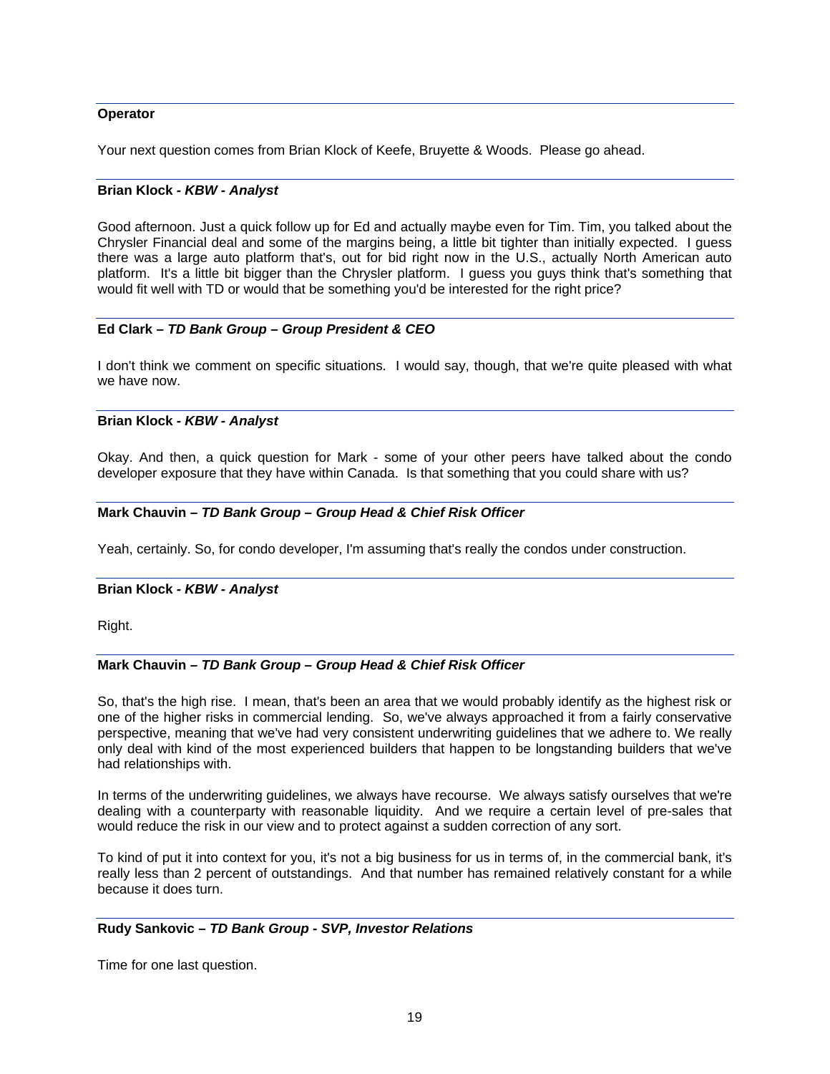### **Operator**

Your next question comes from Brian Klock of Keefe, Bruyette & Woods. Please go ahead.

## **Brian Klock** *- KBW - Analyst*

Good afternoon. Just a quick follow up for Ed and actually maybe even for Tim. Tim, you talked about the Chrysler Financial deal and some of the margins being, a little bit tighter than initially expected. I guess there was a large auto platform that's, out for bid right now in the U.S., actually North American auto platform. It's a little bit bigger than the Chrysler platform. I guess you guys think that's something that would fit well with TD or would that be something you'd be interested for the right price?

## **Ed Clark** *– TD Bank Group – Group President & CEO*

I don't think we comment on specific situations. I would say, though, that we're quite pleased with what we have now

## **Brian Klock** *- KBW - Analyst*

Okay. And then, a quick question for Mark - some of your other peers have talked about the condo developer exposure that they have within Canada. Is that something that you could share with us?

## **Mark Chauvin** *– TD Bank Group – Group Head & Chief Risk Officer*

Yeah, certainly. So, for condo developer, I'm assuming that's really the condos under construction.

### **Brian Klock** *- KBW - Analyst*

Right.

### **Mark Chauvin** *– TD Bank Group – Group Head & Chief Risk Officer*

So, that's the high rise. I mean, that's been an area that we would probably identify as the highest risk or one of the higher risks in commercial lending. So, we've always approached it from a fairly conservative perspective, meaning that we've had very consistent underwriting guidelines that we adhere to. We really only deal with kind of the most experienced builders that happen to be longstanding builders that we've had relationships with.

In terms of the underwriting guidelines, we always have recourse. We always satisfy ourselves that we're dealing with a counterparty with reasonable liquidity. And we require a certain level of pre-sales that would reduce the risk in our view and to protect against a sudden correction of any sort.

To kind of put it into context for you, it's not a big business for us in terms of, in the commercial bank, it's really less than 2 percent of outstandings. And that number has remained relatively constant for a while because it does turn.

### **Rudy Sankovic** *– TD Bank Group - SVP, Investor Relations*

Time for one last question.